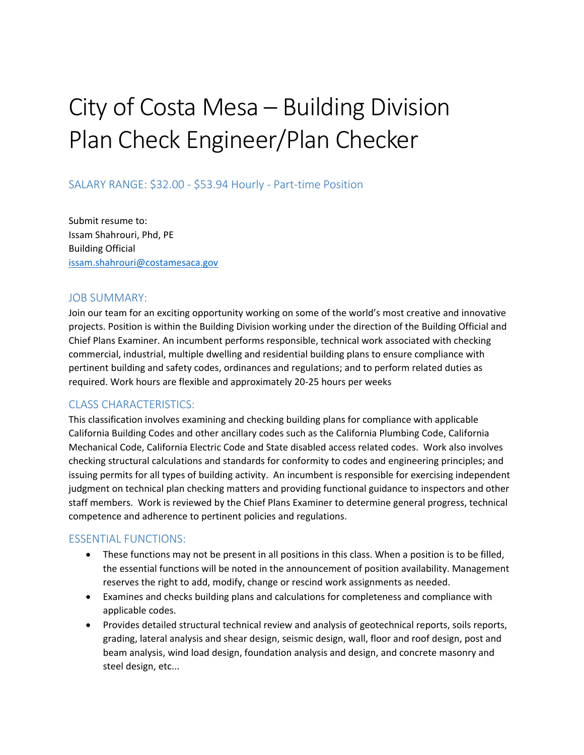# City of Costa Mesa – Building Division Plan Check Engineer/Plan Checker

## SALARY RANGE: \$32.00 - \$53.94 Hourly - Part-time Position

Submit resume to: Issam Shahrouri, Phd, PE Building Official [issam.shahrouri@costamesaca.gov](mailto:issam.shahrouri@costamesaca.gov)

## JOB SUMMARY:

Join our team for an exciting opportunity working on some of the world's most creative and innovative projects. Position is within the Building Division working under the direction of the Building Official and Chief Plans Examiner. An incumbent performs responsible, technical work associated with checking commercial, industrial, multiple dwelling and residential building plans to ensure compliance with pertinent building and safety codes, ordinances and regulations; and to perform related duties as required. Work hours are flexible and approximately 20-25 hours per weeks

## CLASS CHARACTERISTICS:

This classification involves examining and checking building plans for compliance with applicable California Building Codes and other ancillary codes such as the California Plumbing Code, California Mechanical Code, California Electric Code and State disabled access related codes. Work also involves checking structural calculations and standards for conformity to codes and engineering principles; and issuing permits for all types of building activity. An incumbent is responsible for exercising independent judgment on technical plan checking matters and providing functional guidance to inspectors and other staff members. Work is reviewed by the Chief Plans Examiner to determine general progress, technical competence and adherence to pertinent policies and regulations.

## ESSENTIAL FUNCTIONS:

- These functions may not be present in all positions in this class. When a position is to be filled, the essential functions will be noted in the announcement of position availability. Management reserves the right to add, modify, change or rescind work assignments as needed.
- Examines and checks building plans and calculations for completeness and compliance with applicable codes.
- Provides detailed structural technical review and analysis of geotechnical reports, soils reports, grading, lateral analysis and shear design, seismic design, wall, floor and roof design, post and beam analysis, wind load design, foundation analysis and design, and concrete masonry and steel design, etc...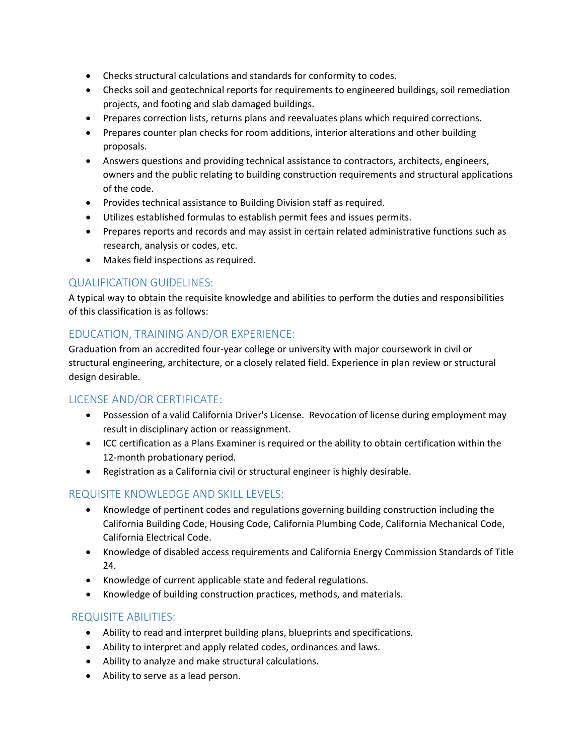- Checks structural calculations and standards for conformity to codes.
- Checks soil and geotechnical reports for requirements to engineered buildings, soil remediation projects, and footing and slab damaged buildings.
- Prepares correction lists, returns plans and reevaluates plans which required corrections.
- Prepares counter plan checks for room additions, interior alterations and other building proposals.
- Answers questions and providing technical assistance to contractors, architects, engineers, owners and the public relating to building construction requirements and structural applications of the code.
- Provides technical assistance to Building Division staff as required.
- Utilizes established formulas to establish permit fees and issues permits.
- Prepares reports and records and may assist in certain related administrative functions such as research, analysis or codes, etc.
- Makes field inspections as required.

## QUALIFICATION GUIDELINES:

A typical way to obtain the requisite knowledge and abilities to perform the duties and responsibilities of this classification is as follows:

## EDUCATION, TRAINING AND/OR EXPERIENCE:

Graduation from an accredited four-year college or university with major coursework in civil or structural engineering, architecture, or a closely related field. Experience in plan review or structural design desirable.

## LICENSE AND/OR CERTIFICATE:

- Possession of a valid California Driver's License. Revocation of license during employment may result in disciplinary action or reassignment.
- ICC certification as a Plans Examiner is required or the ability to obtain certification within the 12-month probationary period.
- Registration as a California civil or structural engineer is highly desirable.

## REQUISITE KNOWLEDGE AND SKILL LEVELS:

- Knowledge of pertinent codes and regulations governing building construction including the California Building Code, Housing Code, California Plumbing Code, California Mechanical Code, California Electrical Code.
- Knowledge of disabled access requirements and California Energy Commission Standards of Title 24.
- Knowledge of current applicable state and federal regulations.
- Knowledge of building construction practices, methods, and materials.

## REQUISITE ABILITIES:

- Ability to read and interpret building plans, blueprints and specifications.
- Ability to interpret and apply related codes, ordinances and laws.
- Ability to analyze and make structural calculations.
- Ability to serve as a lead person.